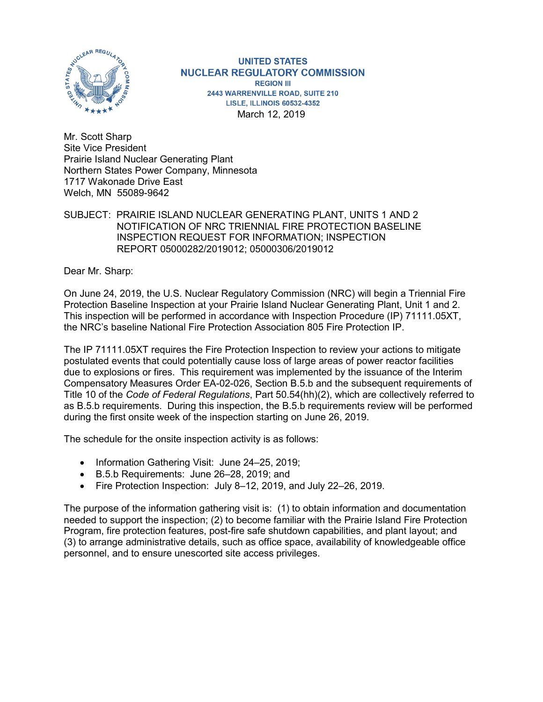

**UNITED STATES NUCLEAR REGULATORY COMMISSION REGION III** 2443 WARRENVILLE ROAD, SUITE 210 **LISLE, ILLINOIS 60532-4352** March 12, 2019

Mr. Scott Sharp Site Vice President Prairie Island Nuclear Generating Plant Northern States Power Company, Minnesota 1717 Wakonade Drive East Welch, MN 55089-9642

#### SUBJECT: PRAIRIE ISLAND NUCLEAR GENERATING PLANT, UNITS 1 AND 2 NOTIFICATION OF NRC TRIENNIAL FIRE PROTECTION BASELINE INSPECTION REQUEST FOR INFORMATION; INSPECTION REPORT 05000282/2019012; 05000306/2019012

Dear Mr. Sharp:

On June 24, 2019, the U.S. Nuclear Regulatory Commission (NRC) will begin a Triennial Fire Protection Baseline Inspection at your Prairie Island Nuclear Generating Plant, Unit 1 and 2. This inspection will be performed in accordance with Inspection Procedure (IP) 71111.05XT, the NRC's baseline National Fire Protection Association 805 Fire Protection IP.

The IP 71111.05XT requires the Fire Protection Inspection to review your actions to mitigate postulated events that could potentially cause loss of large areas of power reactor facilities due to explosions or fires. This requirement was implemented by the issuance of the Interim Compensatory Measures Order EA-02-026, Section B.5.b and the subsequent requirements of Title 10 of the *Code of Federal Regulations*, Part 50.54(hh)(2), which are collectively referred to as B.5.b requirements. During this inspection, the B.5.b requirements review will be performed during the first onsite week of the inspection starting on June 26, 2019.

The schedule for the onsite inspection activity is as follows:

- Information Gathering Visit: June 24–25, 2019;
- B.5.b Requirements: June 26–28, 2019; and
- Fire Protection Inspection: July 8–12, 2019, and July 22–26, 2019.

The purpose of the information gathering visit is: (1) to obtain information and documentation needed to support the inspection; (2) to become familiar with the Prairie Island Fire Protection Program, fire protection features, post-fire safe shutdown capabilities, and plant layout; and (3) to arrange administrative details, such as office space, availability of knowledgeable office personnel, and to ensure unescorted site access privileges.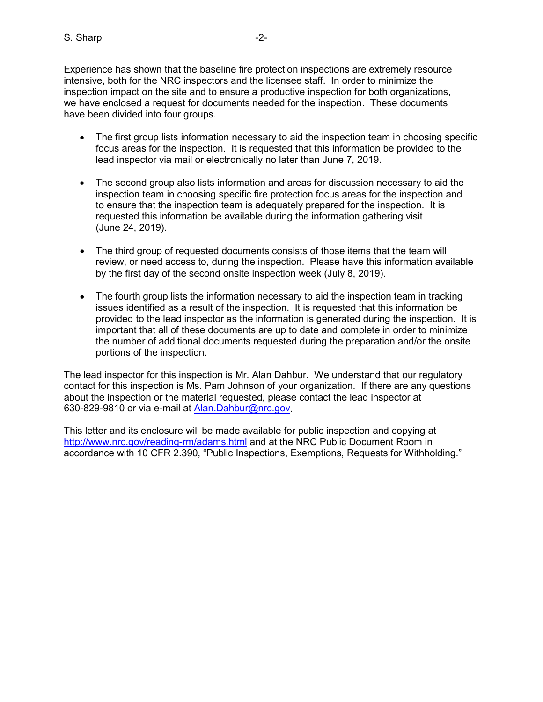Experience has shown that the baseline fire protection inspections are extremely resource intensive, both for the NRC inspectors and the licensee staff. In order to minimize the inspection impact on the site and to ensure a productive inspection for both organizations, we have enclosed a request for documents needed for the inspection. These documents have been divided into four groups.

- The first group lists information necessary to aid the inspection team in choosing specific focus areas for the inspection. It is requested that this information be provided to the lead inspector via mail or electronically no later than June 7, 2019.
- The second group also lists information and areas for discussion necessary to aid the inspection team in choosing specific fire protection focus areas for the inspection and to ensure that the inspection team is adequately prepared for the inspection. It is requested this information be available during the information gathering visit (June 24, 2019).
- The third group of requested documents consists of those items that the team will review, or need access to, during the inspection. Please have this information available by the first day of the second onsite inspection week (July 8, 2019).
- The fourth group lists the information necessary to aid the inspection team in tracking issues identified as a result of the inspection. It is requested that this information be provided to the lead inspector as the information is generated during the inspection. It is important that all of these documents are up to date and complete in order to minimize the number of additional documents requested during the preparation and/or the onsite portions of the inspection.

The lead inspector for this inspection is Mr. Alan Dahbur. We understand that our regulatory contact for this inspection is Ms. Pam Johnson of your organization. If there are any questions about the inspection or the material requested, please contact the lead inspector at 630-829-9810 or via e-mail at [Alan.Dahbur@nrc.gov.](mailto:Alan.Dahbur@nrc.gov)

This letter and its enclosure will be made available for public inspection and copying at <http://www.nrc.gov/reading-rm/adams.html> and at the NRC Public Document Room in accordance with 10 CFR 2.390, "Public Inspections, Exemptions, Requests for Withholding."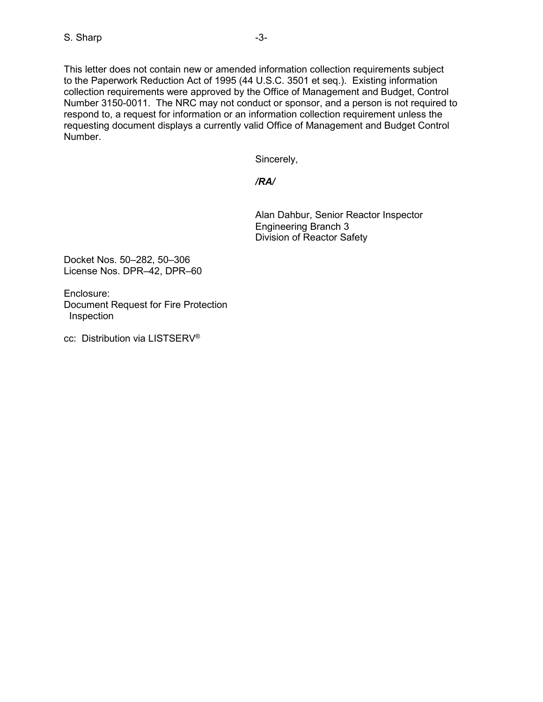This letter does not contain new or amended information collection requirements subject to the Paperwork Reduction Act of 1995 (44 U.S.C. 3501 et seq.). Existing information collection requirements were approved by the Office of Management and Budget, Control Number 3150-0011. The NRC may not conduct or sponsor, and a person is not required to respond to, a request for information or an information collection requirement unless the requesting document displays a currently valid Office of Management and Budget Control Number.

Sincerely,

*/RA/*

Alan Dahbur, Senior Reactor Inspector Engineering Branch 3 Division of Reactor Safety

Docket Nos. 50–282, 50–306 License Nos. DPR–42, DPR–60

Enclosure: Document Request for Fire Protection Inspection

cc: Distribution via LISTSERV®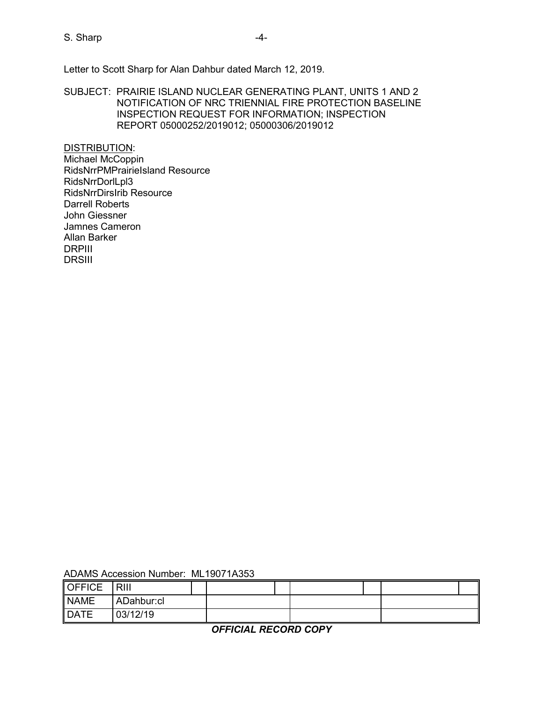S. Sharp  $-4-$ 

Letter to Scott Sharp for Alan Dahbur dated March 12, 2019.

SUBJECT: PRAIRIE ISLAND NUCLEAR GENERATING PLANT, UNITS 1 AND 2 NOTIFICATION OF NRC TRIENNIAL FIRE PROTECTION BASELINE INSPECTION REQUEST FOR INFORMATION; INSPECTION REPORT 05000252/2019012; 05000306/2019012

DISTRIBUTION: Michael McCoppin RidsNrrPMPrairieIsland Resource RidsNrrDorlLpl3 RidsNrrDirsIrib Resource Darrell Roberts John Giessner Jamnes Cameron Allan Barker DRPIII **DRSIII** 

| ADAMS Accession Number: ML19071A353 |  |
|-------------------------------------|--|
|-------------------------------------|--|

| <b>OFFICE</b>              | RIII       |  |  |  |  |
|----------------------------|------------|--|--|--|--|
| <b>NAME</b>                | ADahbur:cl |  |  |  |  |
| $\overline{\mathsf{DATE}}$ | 03/12/19   |  |  |  |  |

*OFFICIAL RECORD COPY*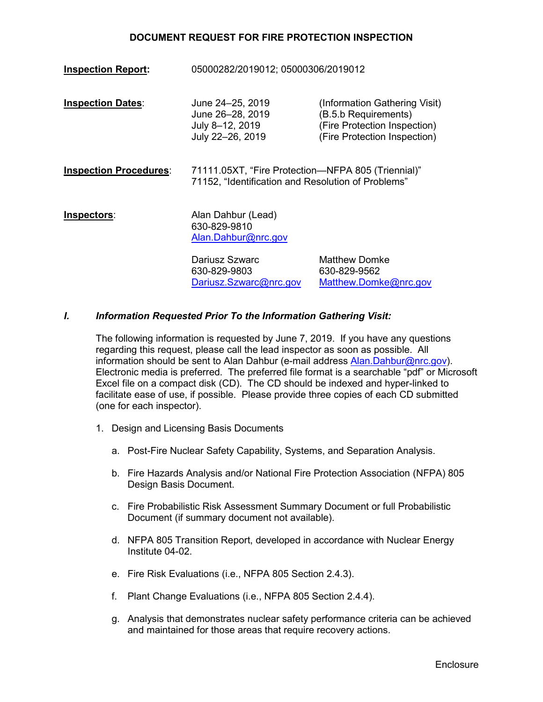**Inspection Report:** 05000282/2019012; 05000306/2019012 **Inspection Dates:** June 24–25, 2019 (Information Gathering Visit) June 26–28, 2019 (B.5.b Requirements) July 8–12, 2019 (Fire Protection Inspection)<br>July 22–26, 2019 (Fire Protection Inspection) (Fire Protection Inspection) **Inspection Procedures**: 71111.05XT, "Fire Protection—NFPA 805 (Triennial)" 71152, "Identification and Resolution of Problems" **Inspectors:** Alan Dahbur (Lead) 630-829-9810 [Alan.Dahbur@nrc.gov](mailto:Alan.Dahbur@nrc.gov) Dariusz Szwarc Matthew Domke 630-829-9803 630-829-9562 [Dariusz.Szwarc@nrc.gov](mailto:Dariusz.Szwarc@nrc.gov) [Matthew.Domke@nrc.gov](mailto:Matthew.Domke@nrc.gov)

#### *I. Information Requested Prior To the Information Gathering Visit:*

The following information is requested by June 7, 2019. If you have any questions regarding this request, please call the lead inspector as soon as possible. All information should be sent to Alan Dahbur (e-mail address [Alan.Dahbur@nrc.gov\)](mailto:Alan.Dahbur@nrc.gov). Electronic media is preferred. The preferred file format is a searchable "pdf" or Microsoft Excel file on a compact disk (CD). The CD should be indexed and hyper-linked to facilitate ease of use, if possible. Please provide three copies of each CD submitted (one for each inspector).

- 1. Design and Licensing Basis Documents
	- a. Post-Fire Nuclear Safety Capability, Systems, and Separation Analysis.
	- b. Fire Hazards Analysis and/or National Fire Protection Association (NFPA) 805 Design Basis Document.
	- c. Fire Probabilistic Risk Assessment Summary Document or full Probabilistic Document (if summary document not available).
	- d. NFPA 805 Transition Report, developed in accordance with Nuclear Energy Institute 04-02.
	- e. Fire Risk Evaluations (i.e., NFPA 805 Section 2.4.3).
	- f. Plant Change Evaluations (i.e., NFPA 805 Section 2.4.4).
	- g. Analysis that demonstrates nuclear safety performance criteria can be achieved and maintained for those areas that require recovery actions.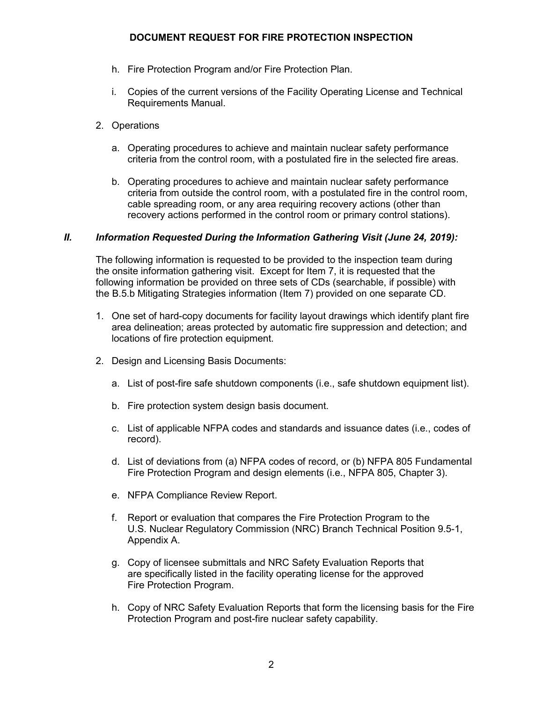- h. Fire Protection Program and/or Fire Protection Plan.
- i. Copies of the current versions of the Facility Operating License and Technical Requirements Manual.
- 2. Operations
	- a. Operating procedures to achieve and maintain nuclear safety performance criteria from the control room, with a postulated fire in the selected fire areas.
	- b. Operating procedures to achieve and maintain nuclear safety performance criteria from outside the control room, with a postulated fire in the control room, cable spreading room, or any area requiring recovery actions (other than recovery actions performed in the control room or primary control stations).

### *II. Information Requested During the Information Gathering Visit (June 24, 2019):*

The following information is requested to be provided to the inspection team during the onsite information gathering visit. Except for Item 7, it is requested that the following information be provided on three sets of CDs (searchable, if possible) with the B.5.b Mitigating Strategies information (Item 7) provided on one separate CD.

- 1. One set of hard-copy documents for facility layout drawings which identify plant fire area delineation; areas protected by automatic fire suppression and detection; and locations of fire protection equipment.
- 2. Design and Licensing Basis Documents:
	- a. List of post-fire safe shutdown components (i.e., safe shutdown equipment list).
	- b. Fire protection system design basis document.
	- c. List of applicable NFPA codes and standards and issuance dates (i.e., codes of record).
	- d. List of deviations from (a) NFPA codes of record, or (b) NFPA 805 Fundamental Fire Protection Program and design elements (i.e., NFPA 805, Chapter 3).
	- e. NFPA Compliance Review Report.
	- f. Report or evaluation that compares the Fire Protection Program to the U.S. Nuclear Regulatory Commission (NRC) Branch Technical Position 9.5-1, Appendix A.
	- g. Copy of licensee submittals and NRC Safety Evaluation Reports that are specifically listed in the facility operating license for the approved Fire Protection Program.
	- h. Copy of NRC Safety Evaluation Reports that form the licensing basis for the Fire Protection Program and post-fire nuclear safety capability.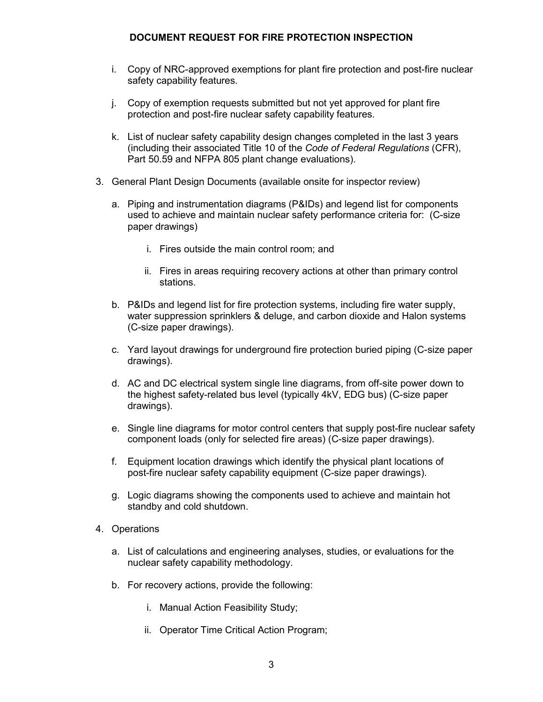- i. Copy of NRC-approved exemptions for plant fire protection and post-fire nuclear safety capability features.
- j. Copy of exemption requests submitted but not yet approved for plant fire protection and post-fire nuclear safety capability features.
- k. List of nuclear safety capability design changes completed in the last 3 years (including their associated Title 10 of the *Code of Federal Regulations* (CFR), Part 50.59 and NFPA 805 plant change evaluations).
- 3. General Plant Design Documents (available onsite for inspector review)
	- a. Piping and instrumentation diagrams (P&IDs) and legend list for components used to achieve and maintain nuclear safety performance criteria for: (C-size paper drawings)
		- i. Fires outside the main control room; and
		- ii. Fires in areas requiring recovery actions at other than primary control stations.
	- b. P&IDs and legend list for fire protection systems, including fire water supply, water suppression sprinklers & deluge, and carbon dioxide and Halon systems (C-size paper drawings).
	- c. Yard layout drawings for underground fire protection buried piping (C-size paper drawings).
	- d. AC and DC electrical system single line diagrams, from off-site power down to the highest safety-related bus level (typically 4kV, EDG bus) (C-size paper drawings).
	- e. Single line diagrams for motor control centers that supply post-fire nuclear safety component loads (only for selected fire areas) (C-size paper drawings).
	- f. Equipment location drawings which identify the physical plant locations of post-fire nuclear safety capability equipment (C-size paper drawings).
	- g. Logic diagrams showing the components used to achieve and maintain hot standby and cold shutdown.
- 4. Operations
	- a. List of calculations and engineering analyses, studies, or evaluations for the nuclear safety capability methodology.
	- b. For recovery actions, provide the following:
		- i. Manual Action Feasibility Study;
		- ii. Operator Time Critical Action Program;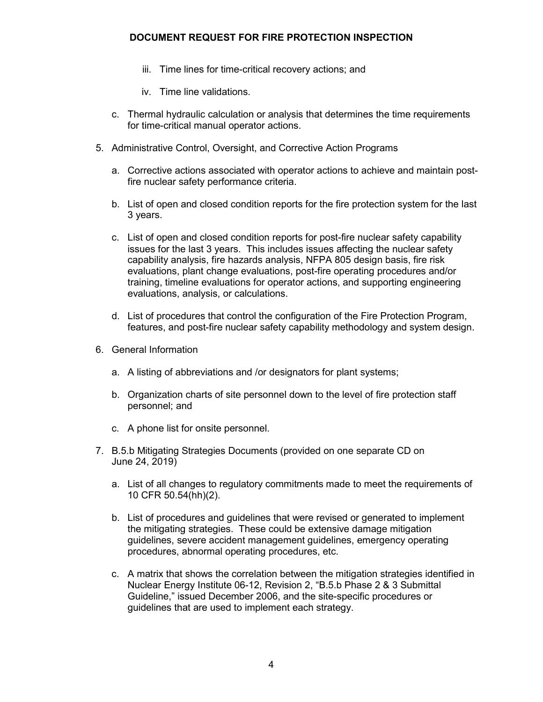- iii. Time lines for time-critical recovery actions; and
- iv. Time line validations.
- c. Thermal hydraulic calculation or analysis that determines the time requirements for time-critical manual operator actions.
- 5. Administrative Control, Oversight, and Corrective Action Programs
	- a. Corrective actions associated with operator actions to achieve and maintain postfire nuclear safety performance criteria.
	- b. List of open and closed condition reports for the fire protection system for the last 3 years.
	- c. List of open and closed condition reports for post-fire nuclear safety capability issues for the last 3 years. This includes issues affecting the nuclear safety capability analysis, fire hazards analysis, NFPA 805 design basis, fire risk evaluations, plant change evaluations, post-fire operating procedures and/or training, timeline evaluations for operator actions, and supporting engineering evaluations, analysis, or calculations.
	- d. List of procedures that control the configuration of the Fire Protection Program, features, and post-fire nuclear safety capability methodology and system design.
- 6. General Information
	- a. A listing of abbreviations and /or designators for plant systems;
	- b. Organization charts of site personnel down to the level of fire protection staff personnel; and
	- c. A phone list for onsite personnel.
- 7. B.5.b Mitigating Strategies Documents (provided on one separate CD on June 24, 2019)
	- a. List of all changes to regulatory commitments made to meet the requirements of 10 CFR 50.54(hh)(2).
	- b. List of procedures and guidelines that were revised or generated to implement the mitigating strategies. These could be extensive damage mitigation guidelines, severe accident management guidelines, emergency operating procedures, abnormal operating procedures, etc.
	- c. A matrix that shows the correlation between the mitigation strategies identified in Nuclear Energy Institute 06-12, Revision 2, "B.5.b Phase 2 & 3 Submittal Guideline," issued December 2006, and the site-specific procedures or guidelines that are used to implement each strategy.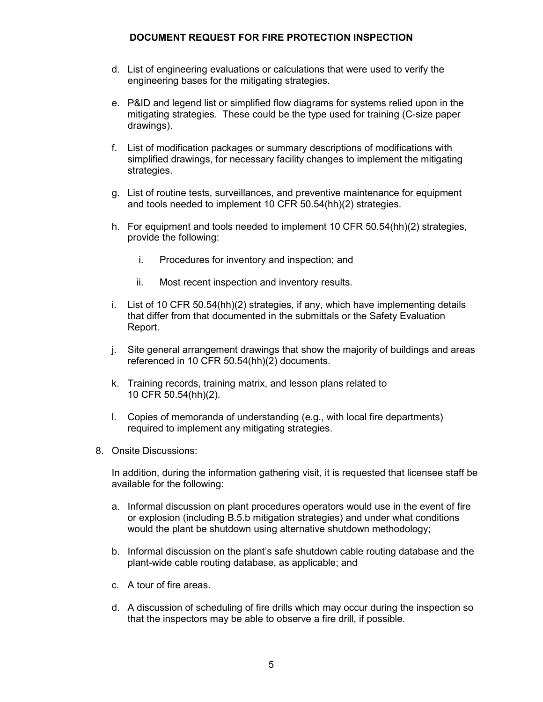- d. List of engineering evaluations or calculations that were used to verify the engineering bases for the mitigating strategies.
- e. P&ID and legend list or simplified flow diagrams for systems relied upon in the mitigating strategies. These could be the type used for training (C-size paper drawings).
- f. List of modification packages or summary descriptions of modifications with simplified drawings, for necessary facility changes to implement the mitigating strategies.
- g. List of routine tests, surveillances, and preventive maintenance for equipment and tools needed to implement 10 CFR 50.54(hh)(2) strategies.
- h. For equipment and tools needed to implement 10 CFR 50.54(hh)(2) strategies, provide the following:
	- i. Procedures for inventory and inspection; and
	- ii. Most recent inspection and inventory results.
- i. List of 10 CFR 50.54(hh)(2) strategies, if any, which have implementing details that differ from that documented in the submittals or the Safety Evaluation Report.
- j. Site general arrangement drawings that show the majority of buildings and areas referenced in 10 CFR 50.54(hh)(2) documents.
- k. Training records, training matrix, and lesson plans related to 10 CFR 50.54(hh)(2).
- l. Copies of memoranda of understanding (e.g., with local fire departments) required to implement any mitigating strategies.
- 8. Onsite Discussions:

In addition, during the information gathering visit, it is requested that licensee staff be available for the following:

- a. Informal discussion on plant procedures operators would use in the event of fire or explosion (including B.5.b mitigation strategies) and under what conditions would the plant be shutdown using alternative shutdown methodology;
- b. Informal discussion on the plant's safe shutdown cable routing database and the plant-wide cable routing database, as applicable; and
- c. A tour of fire areas.
- d. A discussion of scheduling of fire drills which may occur during the inspection so that the inspectors may be able to observe a fire drill, if possible.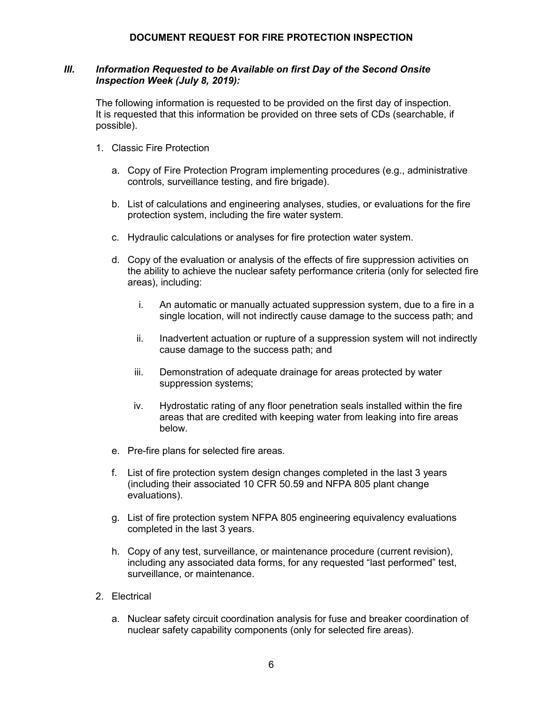#### *III. Information Requested to be Available on first Day of the Second Onsite Inspection Week (July 8, 2019):*

The following information is requested to be provided on the first day of inspection. It is requested that this information be provided on three sets of CDs (searchable, if possible).

- 1. Classic Fire Protection
	- a. Copy of Fire Protection Program implementing procedures (e.g., administrative controls, surveillance testing, and fire brigade).
	- b. List of calculations and engineering analyses, studies, or evaluations for the fire protection system, including the fire water system.
	- c. Hydraulic calculations or analyses for fire protection water system.
	- d. Copy of the evaluation or analysis of the effects of fire suppression activities on the ability to achieve the nuclear safety performance criteria (only for selected fire areas), including:
		- i. An automatic or manually actuated suppression system, due to a fire in a single location, will not indirectly cause damage to the success path; and
		- ii. Inadvertent actuation or rupture of a suppression system will not indirectly cause damage to the success path; and
		- iii. Demonstration of adequate drainage for areas protected by water suppression systems;
		- iv. Hydrostatic rating of any floor penetration seals installed within the fire areas that are credited with keeping water from leaking into fire areas below.
	- e. Pre-fire plans for selected fire areas.
	- f. List of fire protection system design changes completed in the last 3 years (including their associated 10 CFR 50.59 and NFPA 805 plant change evaluations).
	- g. List of fire protection system NFPA 805 engineering equivalency evaluations completed in the last 3 years.
	- h. Copy of any test, surveillance, or maintenance procedure (current revision), including any associated data forms, for any requested "last performed" test, surveillance, or maintenance.
- 2. Electrical
	- a. Nuclear safety circuit coordination analysis for fuse and breaker coordination of nuclear safety capability components (only for selected fire areas).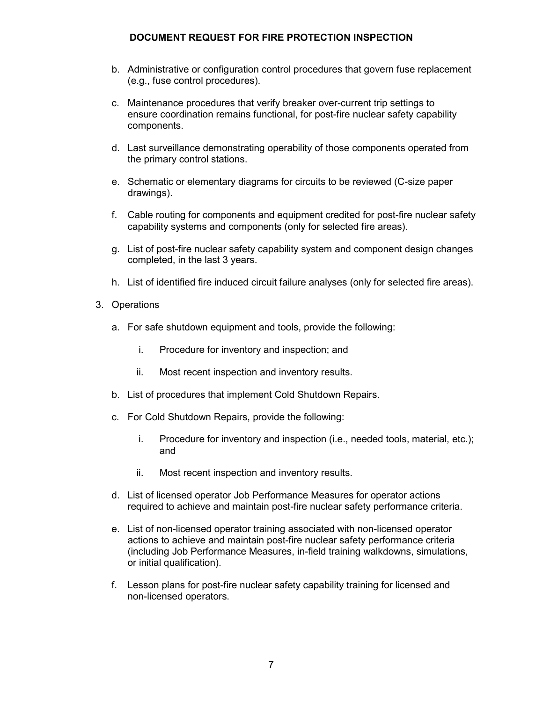- b. Administrative or configuration control procedures that govern fuse replacement (e.g., fuse control procedures).
- c. Maintenance procedures that verify breaker over-current trip settings to ensure coordination remains functional, for post-fire nuclear safety capability components.
- d. Last surveillance demonstrating operability of those components operated from the primary control stations.
- e. Schematic or elementary diagrams for circuits to be reviewed (C-size paper drawings).
- f. Cable routing for components and equipment credited for post-fire nuclear safety capability systems and components (only for selected fire areas).
- g. List of post-fire nuclear safety capability system and component design changes completed, in the last 3 years.
- h. List of identified fire induced circuit failure analyses (only for selected fire areas).
- 3. Operations
	- a. For safe shutdown equipment and tools, provide the following:
		- i. Procedure for inventory and inspection; and
		- ii. Most recent inspection and inventory results.
	- b. List of procedures that implement Cold Shutdown Repairs.
	- c. For Cold Shutdown Repairs, provide the following:
		- i. Procedure for inventory and inspection (i.e., needed tools, material, etc.); and
		- ii. Most recent inspection and inventory results.
	- d. List of licensed operator Job Performance Measures for operator actions required to achieve and maintain post-fire nuclear safety performance criteria.
	- e. List of non-licensed operator training associated with non-licensed operator actions to achieve and maintain post-fire nuclear safety performance criteria (including Job Performance Measures, in-field training walkdowns, simulations, or initial qualification).
	- f. Lesson plans for post-fire nuclear safety capability training for licensed and non-licensed operators.